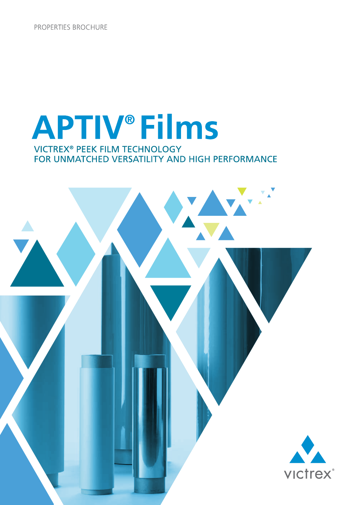PROPERTIES BROCHURE

# **APTIV®Films VICTREX<sup>®</sup> PEEK FILM TECHNOLOGY** FOR UNMATCHED VERSATILITY AND HIGH PERFORMANCE

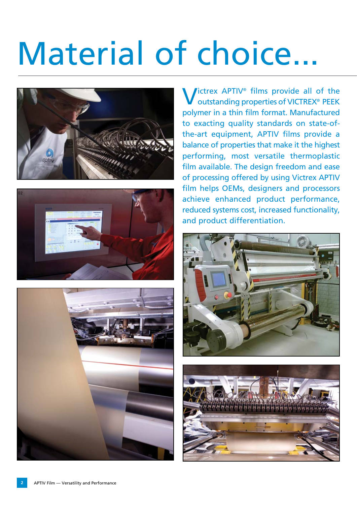# Material of choice...







**Victrex APTIV<sup>®</sup> films provide all of the** outstanding properties of VICTREX® PEEK polymer in a thin film format. Manufactured to exacting quality standards on state-ofthe-art equipment, APTIV films provide a balance of properties that make it the highest performing, most versatile thermoplastic film available. The design freedom and ease of processing offered by using Victrex APTIV film helps OEMs, designers and processors achieve enhanced product performance, reduced systems cost, increased functionality, and product differentiation.



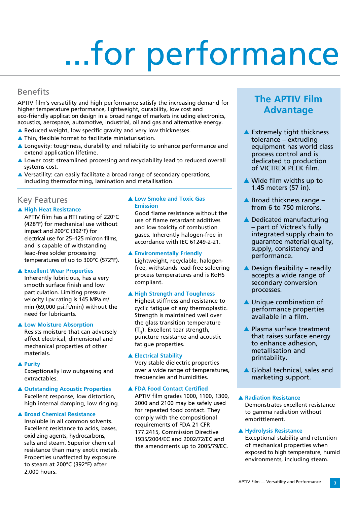# ...for performance

## Benefits

APTIV film's versatility and high performance satisfy the increasing demand for higher temperature performance, lightweight, durability, low cost and eco-friendly application design in a broad range of markets including electronics, acoustics, aerospace, automotive, industrial, oil and gas and alternative energy.

- $\triangle$  Reduced weight, low specific gravity and very low thicknesses.
- $\blacktriangle$  Thin, flexible format to facilitate miniaturisation.
- $\triangle$  Longevity: toughness, durability and reliability to enhance performance and extend application lifetime.
- Lower cost: streamlined processing and recyclability lead to reduced overall systems cost.
- $\triangle$  Versatility: can easily facilitate a broad range of secondary operations, including thermoforming, lamination and metallisation.

## Key Features

#### **A High Heat Resistance**

APTIV film has a RTI rating of 220°C (428°F) for mechanical use without impact and 200°C (392°F) for electrical use for 25–125 micron films, and is capable of withstanding lead-free solder processing temperatures of up to 300°C (572°F).

#### **A Excellent Wear Properties**

Inherently lubricious, has a very smooth surface finish and low particulation. Limiting pressure velocity Lpv rating is 145 MPa.m/ min (69,000 psi.ft/min) without the need for lubricants.

#### **A Low Moisture Absorption**

Resists moisture that can adversely affect electrical, dimensional and mechanical properties of other materials.

#### **A** Purity

Exceptionally low outgassing and extractables.

**△ Outstanding Acoustic Properties** Excellent response, low distortion, high internal damping, low ringing.

#### **A Broad Chemical Resistance**

Insoluble in all common solvents. Excellent resistance to acids, bases, oxidizing agents, hydrocarbons, salts and steam. Superior chemical resistance than many exotic metals. Properties unaffected by exposure to steam at 200°C (392°F) after 2,000 hours.

#### **A Low Smoke and Toxic Gas Emission**

Good flame resistance without the use of flame retardant additives and low toxicity of combustion gases. Inherently halogen-free in accordance with IEC 61249-2-21.

#### **A Environmentally Friendly**

Lightweight, recyclable, halogenfree, withstands lead-free soldering process temperatures and is RoHS compliant.

#### A High Strength and Toughness

Highest stiffness and resistance to cyclic fatigue of any thermoplastic. Strength is maintained well over the glass transition temperature  $(T_{\alpha})$ . Excellent tear strength, puncture resistance and acoustic fatigue properties.

#### **A Electrical Stability**

Very stable dielectric properties over a wide range of temperatures, frequencies and humidities.

#### **A FDA Food Contact Certified**

APTIV film grades 1000, 1100, 1300, 2000 and 2100 may be safely used for repeated food contact. They comply with the compositional requirements of FDA 21 CFR 177.2415, Commission Directive 1935/2004/EC and 2002/72/EC and the amendments up to 2005/79/EC.

# **The APTIV Film Advantage**

- $\blacktriangle$  Extremely tight thickness tolerance – extruding equipment has world class process control and is dedicated to production of VICTREX PEEK film.
- $\triangle$  Wide film widths up to 1.45 meters (57 in).
- $\triangle$  Broad thickness range from 6 to 750 microns.
- $\triangle$  Dedicated manufacturing – part of Victrex's fully integrated supply chain to guarantee material quality, supply, consistency and performance.
- $\triangle$  Design flexibility readily accepts a wide range of secondary conversion processes.
- $\blacktriangle$  Unique combination of performance properties available in a film.
- $\blacktriangle$  Plasma surface treatment that raises surface energy to enhance adhesion, metallisation and printability.
- $\triangle$  Global technical, sales and marketing support.

#### **A Radiation Resistance** Demonstrates excellent resistance to gamma radiation without embrittlement.

#### **A Hydrolysis Resistance**

Exceptional stability and retention of mechanical properties when exposed to high temperature, humid environments, including steam.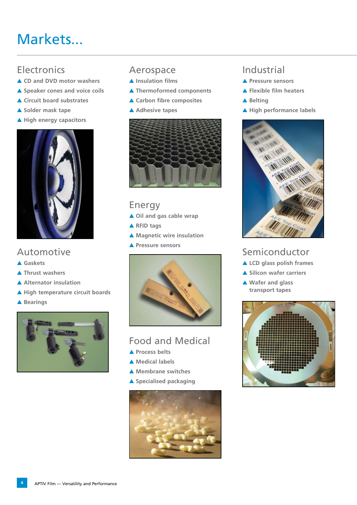# Markets...

# **Electronics**

- **A CD and DVD motor washers**
- **A** Speaker cones and voice coils
- **△ Circuit board substrates**
- **A** Solder mask tape
- A High energy capacitors



# Automotive

- s **Gaskets**
- **A** Thrust washers
- A Alternator insulation
- A High temperature circuit boards
- **A** Bearings



# Aerospace

- **A** Insulation films
- **A** Thermoformed components
- **△ Carbon fibre composites**
- A Adhesive tapes



# Energy

- ▲ Oil and gas cable wrap
- **A** RFID tags
- **A** Magnetic wire insulation
- **A** Pressure sensors



# Food and Medical

- **A** Process belts
- ▲ Medical labels
- **A** Membrane switches
- **A** Specialised packaging



# Industrial

- s **Pressure sensors**
- **A Flexible film heaters**
- ▲ Belting
- A High performance labels



# Semiconductor

- **ALCD glass polish frames**
- **A Silicon wafer carriers**
- ▲ Wafer and glass **transport tapes**

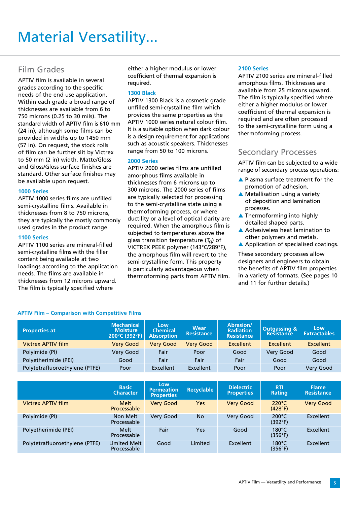# Material Versatility...

# Film Grades

APTIV film is available in several grades according to the specific needs of the end use application. Within each grade a broad range of thicknesses are available from 6 to 750 microns (0.25 to 30 mils). The standard width of APTIV film is 610 mm (24 in), although some films can be provided in widths up to 1450 mm (57 in). On request, the stock rolls of film can be further slit by Victrex to 50 mm (2 in) width. Matte/Gloss and Gloss/Gloss surface finishes are standard. Other surface finishes may be available upon request.

#### **1000 Series**

APTIV 1000 series films are unfilled semi-crystalline films. Available in thicknesses from 8 to 750 microns, they are typically the mostly commonly used grades in the product range.

#### **1100 Series**

APTIV 1100 series are mineral-filled semi-crystalline films with the filler content being available at two loadings according to the application needs. The films are available in thicknesses from 12 microns upward. The film is typically specified where

either a higher modulus or lower coefficient of thermal expansion is required.

#### **1300 Black**

APTIV 1300 Black is a cosmetic grade unfilled semi-crystalline film which provides the same properties as the APTIV 1000 series natural colour film. It is a suitable option when dark colour is a design requirement for applications such as acoustic speakers. Thicknesses range from 50 to 100 microns.

#### **2000 Series**

APTIV 2000 series films are unfilled amorphous films available in thicknesses from 6 microns up to 300 microns. The 2000 series of films are typically selected for processing to the semi-crystalline state using a thermoforming process, or where ductility or a level of optical clarity are required. When the amorphous film is subjected to temperatures above the glass transition temperature  $(T_{\alpha})$  of VICTREX PEEK polymer (143°C/289°F), the amorphous film will revert to the semi-crystalline form. This property is particularly advantageous when thermoforming parts from APTIV film.

#### **2100 Series**

APTIV 2100 series are mineral-filled amorphous films. Thicknesses are available from 25 microns upward. The film is typically specified where either a higher modulus or lower coefficient of thermal expansion is required and are often processed to the semi-crystalline form using a thermoforming process.

## Secondary Processes

APTIV film can be subjected to a wide range of secondary process operations:

- $\triangle$  Plasma surface treatment for the promotion of adhesion.
- $\triangle$  Metallisation using a variety of deposition and lamination processes.
- $\blacktriangle$  Thermoforming into highly detailed shaped parts.
- $\triangle$  Adhesiveless heat lamination to other polymers and metals.
- $\triangle$  Application of specialised coatings.

These secondary processes allow designers and engineers to obtain the benefits of APTIV film properties in a variety of formats. (See pages 10 and 11 for further details.)

| <b>Properties at</b>           | <b>Mechanical</b><br><b>Moisture</b><br>200°C (392°F) | Low<br><b>Chemical</b><br><b>Absorption</b> | <b>Wear</b><br><b>Resistance</b> | Abrasion/<br><b>Radiation</b><br><b>Resistance</b> | <b>Outgassing &amp;</b><br><b>Resistance</b> | Low<br><b>Extractables</b> |
|--------------------------------|-------------------------------------------------------|---------------------------------------------|----------------------------------|----------------------------------------------------|----------------------------------------------|----------------------------|
| <b>Victrex APTIV film</b>      | <b>Very Good</b>                                      | <b>Very Good</b>                            | <b>Very Good</b>                 | <b>Excellent</b>                                   | <b>Excellent</b>                             | <b>Excellent</b>           |
| Polyimide (PI)                 | Very Good                                             | Fair                                        | Poor                             | Good                                               | Very Good                                    | Good                       |
| Polyetherimide (PEI)           | Good                                                  | Fair                                        | Fair                             | Fair                                               | Good                                         | Good                       |
| Polytetrafluoroethylene (PTFE) | Poor                                                  | Excellent                                   | <b>Excellent</b>                 | Poor                                               | Poor                                         | Very Good                  |
|                                |                                                       |                                             |                                  |                                                    |                                              |                            |
|                                | <b>Basic</b>                                          | Low                                         |                                  | <b>Dielectric</b>                                  | <b>RTI</b>                                   | <b>Flame</b>               |
|                                | <b>Character</b>                                      | <b>Permeation</b><br><b>Properties</b>      | <b>Recyclable</b>                | <b>Properties</b>                                  | <b>Rating</b>                                | <b>Resistance</b>          |
| <b>Victrex APTIV film</b>      | <b>Melt</b><br>Processable                            | <b>Very Good</b>                            | <b>Yes</b>                       | <b>Very Good</b>                                   | $220^{\circ}$ C<br>(428°F)                   | <b>Very Good</b>           |
| Polyimide (PI)                 | Non Melt<br>Processable                               | <b>Very Good</b>                            | <b>No</b>                        | Very Good                                          | $200^{\circ}$ C<br>(392°F)                   | Excellent                  |
| Polyetherimide (PEI)           | <b>Melt</b><br>Processable                            | Fair                                        | <b>Yes</b>                       | Good                                               | $180^{\circ}$ C<br>(356°F)                   | Excellent                  |

#### **APTIV Film – Comparison with Competitive Films**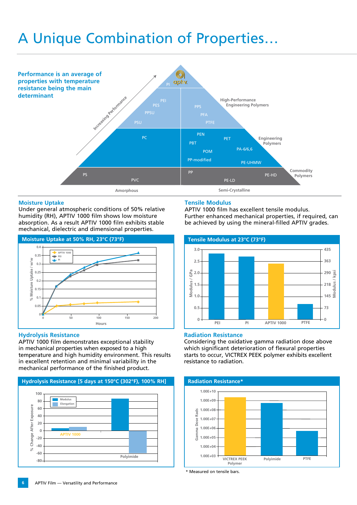# A Unique Combination of Properties…



#### **Moisture Uptake**

Under general atmospheric conditions of 50% relative humidity (RH), APTIV 1000 film shows low moisture absorption. As a result APTIV 1000 film exhibits stable mechanical, dielectric and dimensional properties.



#### **Hydrolysis Resistance**

APTIV 1000 film demonstrates exceptional stability in mechanical properties when exposed to a high temperature and high humidity environment. This results in excellent retention and minimal variability in the mechanical performance of the finished product.



#### **Tensile Modulus**

APTIV 1000 film has excellent tensile modulus. Further enhanced mechanical properties, if required, can be achieved by using the mineral-filled APTIV grades.



#### **Radiation Resistance**

Considering the oxidative gamma radiation dose above which significant deterioration of flexural properties starts to occur, VICTREX PEEK polymer exhibits excellent resistance to radiation.



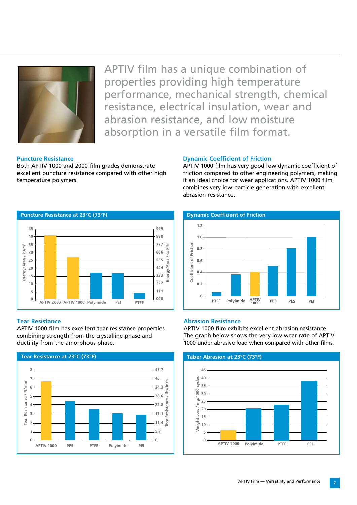

APTIV film has a unique combination of properties providing high temperature performance, mechanical strength, chemical resistance, electrical insulation, wear and abrasion resistance, and low moisture absorption in a versatile film format.

#### **Puncture Resistance**

Both APTIV 1000 and 2000 film grades demonstrate excellent puncture resistance compared with other high temperature polymers.



#### **Tear Resistance**

APTIV 1000 film has excellent tear resistance properties combining strength from the crystalline phase and ductility from the amorphous phase. **Tear Resistance**



#### **Dynamic Coefficient of Friction**

APTIV 1000 film has very good low dynamic coefficient of friction compared to other engineering polymers, making it an ideal choice for wear applications. APTIV 1000 film combines very low particle generation with excellent abrasion resistance.

 **Dynamic Coefficient of Friction**



#### **Abrasion Resistance**

APTIV 1000 film exhibits excellent abrasion resistance. The graph below shows the very low wear rate of APTIV 1000 under abrasive load when compared with other films.

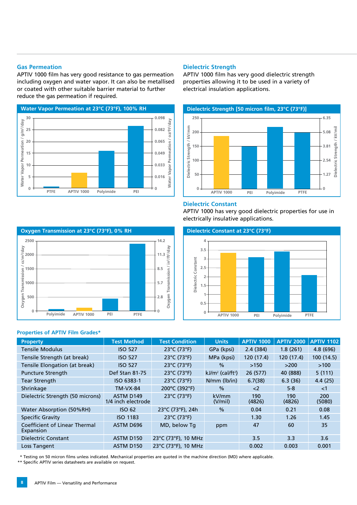#### **Gas Permeation**

APTIV 1000 film has very good resistance to gas permeation including oxygen and water vapor. It can also be metallised or coated with other suitable barrier material to further reduce the gas permeation if required.



#### **Dielectric Strength**

APTIV 1000 film has very good dielectric strength properties allowing it to be used in a variety of electrical insulation applications.



#### **Dielectric Constant**

APTIV 1000 has very good dielectric properties for use in



#### **Properties of APTIV Film Grades\***



| <b>Property</b>                            | <b>Test Method</b>              | <b>Test Condition</b>            | <b>Units</b>                    | <b>APTIV 1000</b> | <b>APTIV 2000</b> | <b>APTIV 1102</b> |
|--------------------------------------------|---------------------------------|----------------------------------|---------------------------------|-------------------|-------------------|-------------------|
| <b>Tensile Modulus</b>                     | <b>ISO 527</b>                  | 23°C (73°F)                      | GPa (kpsi)                      | 2.4(384)          | 1.8(261)          | 4.8(696)          |
| Tensile Strength (at break)                | <b>ISO 527</b>                  | 23°C (73°F)                      | MPa (kpsi)                      | 120 (17.4)        | 120 (17.4)        | 100(14.5)         |
| Tensile Elongation (at break)              | <b>ISO 527</b>                  | 23°C (73°F)                      | $\frac{0}{0}$                   | >150              | >200              | >100              |
| <b>Puncture Strength</b>                   | Def Stan 81-75                  | 23°C (73°F)                      | $kJ/m^2$ (cal/ft <sup>2</sup> ) | 26 (577)          | 40 (888)          | 5(111)            |
| <b>Tear Strength</b>                       | ISO 6383-1                      | $23^{\circ}$ C (73 $^{\circ}$ F) | $N/mm$ ( $lb/in$ )              | 6.7(38)           | 6.3(36)           | 4.4(25)           |
| Shrinkage                                  | <b>TM-VX-84</b>                 | 200°C (392°F)                    | $\frac{0}{0}$                   | $2$               | $5 - 8$           | ${<}1$            |
| Dielectric Strength (50 microns)           | ASTM D149<br>1/4 inch electrode | $23^{\circ}$ C (73 $^{\circ}$ F) | kV/mm<br>(V/min)                | 190<br>(4826)     | 190<br>(4826)     | 200<br>(5080)     |
| Water Absorption (50%RH)                   | <b>ISO 62</b>                   | 23°C (73°F), 24h                 | $\frac{0}{0}$                   | 0.04              | 0.21              | 0.08              |
| <b>Specific Gravity</b>                    | <b>ISO 1183</b>                 | 23°C (73°F)                      |                                 | 1.30              | 1.26              | 1.45              |
| Coefficient of Linear Thermal<br>Expansion | ASTM D696                       | MD, below Tq                     | ppm                             | 47                | 60                | 35                |
| <b>Dielectric Constant</b>                 | ASTM D150                       | 23°C (73°F), 10 MHz              |                                 | 3.5               | 3.3               | 3.6               |
| Loss Tangent                               | ASTM D150                       | 23°C (73°F), 10 MHz              |                                 | 0.002             | 0.003             | 0.001             |

\* Testing on 50 micron films unless indicated. Mechanical properties are quoted in the machine direction (MD) where applicable.

\*\* Specific APTIV series datasheets are available on request.

## electrically insulative applications.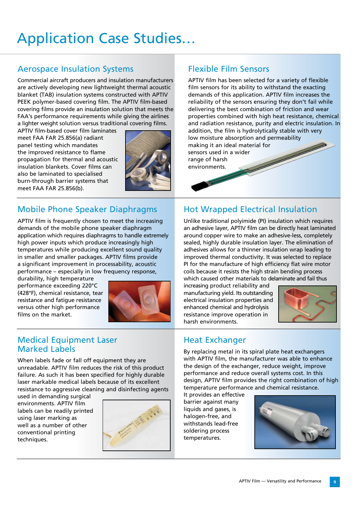# Application Case Studies…

# Aerospace Insulation Systems

Commercial aircraft producers and insulation manufacturers are actively developing new lightweight thermal acoustic blanket (TAB) insulation systems constructed with APTIV PEEK polymer-based covering film. The APTIV film-based covering films provide an insulation solution that meets the FAA's performance requirements while giving the airlines a lighter weight solution versus traditional covering films.

APTIV film-based cover film laminates meet FAA FAR 25.856(a) radiant panel testing which mandates the improved resistance to flame propagation for thermal and acoustic insulation blankets. Cover films can also be laminated to specialised burn-through barrier systems that meet FAA FAR 25.856(b).



# Mobile Phone Speaker Diaphragms

APTIV film is frequently chosen to meet the increasing demands of the mobile phone speaker diaphragm application which requires diaphragms to handle extremely high power inputs which produce increasingly high temperatures while producing excellent sound quality in smaller and smaller packages. APTIV films provide a significant improvement in processability, acoustic performance – especially in low frequency response,

durability, high temperature performance exceeding 220°C (428°F), chemical resistance, tear resistance and fatigue resistance versus other high performance films on the market.



# Medical Equipment Laser Marked Labels

When labels fade or fall off equipment they are unreadable. APTIV film reduces the risk of this product failure. As such it has been specified for highly durable laser markable medical labels because of its excellent resistance to aggressive cleaning and disinfecting agents

used in demanding surgical environments. APTIV film labels can be readily printed using laser marking as well as a number of other conventional printing techniques.



# Flexible Film Sensors

APTIV film has been selected for a variety of flexible film sensors for its ability to withstand the exacting demands of this application. APTIV film increases the reliability of the sensors ensuring they don't fail while delivering the best combination of friction and wear properties combined with high heat resistance, chemical and radiation resistance, purity and electric insulation. In addition, the film is hydrolytically stable with very low moisture absorption and permeability making it an ideal material for sensors used in a wider range of harsh environments.

# Hot Wrapped Electrical Insulation

Unlike traditional polyimide (PI) insulation which requires an adhesive layer, APTIV film can be directly heat laminated around copper wire to make an adhesive-less, completely sealed, highly durable insulation layer. The elimination of adhesives allows for a thinner insulation wrap leading to improved thermal conductivity. It was selected to replace PI for the manufacture of high efficiency flat wire motor coils because it resists the high strain bending process which caused other materials to delaminate and fail thus

increasing product reliability and manufacturing yield. Its outstanding electrical insulation properties and enhanced chemical and hydrolysis resistance improve operation in harsh environments.



# Heat Exchanger

By replacing metal in its spiral plate heat exchangers with APTIV film, the manufacturer was able to enhance the design of the exchanger, reduce weight, improve performance and reduce overall systems cost. In this design, APTIV film provides the right combination of high temperature performance and chemical resistance.

It provides an effective barrier against many liquids and gases, is halogen-free, and withstands lead-free soldering process temperatures.

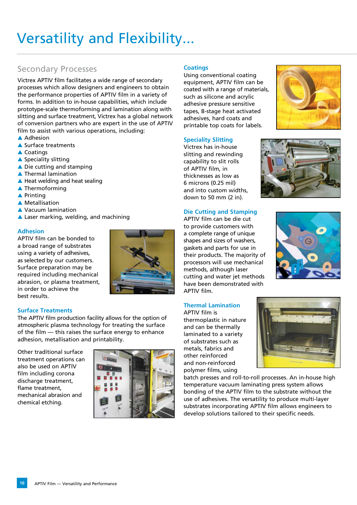# Versatility and Flexibility...

## Secondary Processes

Victrex APTIV film facilitates a wide range of secondary processes which allow designers and engineers to obtain the performance properties of APTIV film in a variety of forms. In addition to in-house capabilities, which include prototype-scale thermoforming and lamination along with slitting and surface treatment, Victrex has a global network of conversion partners who are expert in the use of APTIV film to assist with various operations, including:

- $\triangle$  Adhesion
- $\triangle$  Surface treatments
- $\triangle$  Coatings
- $\triangle$  Speciality slitting
- $\triangle$  Die cutting and stamping
- $\blacktriangle$  Thermal lamination
- $\triangle$  Heat welding and heat sealing
- $\blacktriangle$  Thermoforming
- $\blacktriangle$  Printing
- **A** Metallisation
- ▲ Vacuum lamination
- $\triangle$  Laser marking, welding, and machining

#### **Adhesion**

APTIV film can be bonded to a broad range of substrates using a variety of adhesives, as selected by our customers. Surface preparation may be required including mechanical abrasion, or plasma treatment, in order to achieve the best results.



#### **Surface Treatments**

The APTIV film production facility allows for the option of atmospheric plasma technology for treating the surface of the film — this raises the surface energy to enhance adhesion, metallisation and printability.

Other traditional surface treatment operations can also be used on APTIV film including corona discharge treatment. flame treatment, mechanical abrasion and chemical etching.



#### **Coatings**

Using conventional coating equipment, APTIV film can be coated with a range of materials, such as silicone and acrylic adhesive pressure sensitive tapes, B-stage heat activated adhesives, hard coats and printable top coats for labels.

#### **Speciality Slitting**

Victrex has in-house slitting and rewinding capability to slit rolls of APTIV film, in thicknesses as low as 6 microns (0.25 mil) and into custom widths, down to 50 mm (2 in).



APTIV film can be die cut to provide customers with a complete range of unique shapes and sizes of washers, gaskets and parts for use in their products. The majority of processors will use mechanical methods, although laser cutting and water jet methods have been demonstrated with APTIV film.

#### **Thermal Lamination**

APTIV film is thermoplastic in nature and can be thermally laminated to a variety of substrates such as metals, fabrics and other reinforced and non-reinforced polymer films, using

batch presses and roll-to-roll processes. An in-house high temperature vacuum laminating press system allows bonding of the APTIV film to the substrate without the use of adhesives. The versatility to produce multi-layer substrates incorporating APTIV film allows engineers to develop solutions tailored to their specific needs.









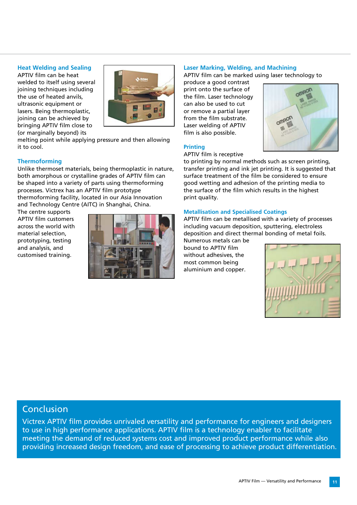#### **Heat Welding and Sealing**

APTIV film can be heat welded to itself using several joining techniques including the use of heated anvils, ultrasonic equipment or lasers. Being thermoplastic, joining can be achieved by bringing APTIV film close to (or marginally beyond) its



melting point while applying pressure and then allowing it to cool.

#### **Thermoforming**

Unlike thermoset materials, being thermoplastic in nature, both amorphous or crystalline grades of APTIV film can be shaped into a variety of parts using thermoforming processes. Victrex has an APTIV film prototype thermoforming facility, located in our Asia Innovation and Technology Centre (AITC) in Shanghai, China.

The centre supports APTIV film customers across the world with material selection, prototyping, testing and analysis, and customised training.



#### **Laser Marking, Welding, and Machining**

APTIV film can be marked using laser technology to

produce a good contrast print onto the surface of the film. Laser technology can also be used to cut or remove a partial layer from the film substrate. Laser welding of APTIV film is also possible.



#### **Printing**

#### APTIV film is receptive

to printing by normal methods such as screen printing, transfer printing and ink jet printing. It is suggested that surface treatment of the film be considered to ensure good wetting and adhesion of the printing media to the surface of the film which results in the highest print quality.

#### **Metallisation and Specialised Coatings**

APTIV film can be metallised with a variety of processes including vacuum deposition, sputtering, electroless deposition and direct thermal bonding of metal foils.

Numerous metals can be bound to APTIV film without adhesives, the most common being aluminium and copper.



## Conclusion

Victrex APTIV film provides unrivaled versatility and performance for engineers and designers to use in high performance applications. APTIV film is a technology enabler to facilitate meeting the demand of reduced systems cost and improved product performance while also providing increased design freedom, and ease of processing to achieve product differentiation.